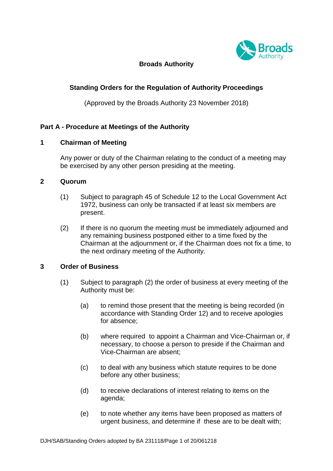

# **Broads Authority**

# **Standing Orders for the Regulation of Authority Proceedings**

(Approved by the Broads Authority 23 November 2018)

# **Part A - Procedure at Meetings of the Authority**

### **1 Chairman of Meeting**

Any power or duty of the Chairman relating to the conduct of a meeting may be exercised by any other person presiding at the meeting.

### **2 Quorum**

- (1) Subject to paragraph 45 of Schedule 12 to the Local Government Act 1972, business can only be transacted if at least six members are present.
- (2) If there is no quorum the meeting must be immediately adjourned and any remaining business postponed either to a time fixed by the Chairman at the adjournment or, if the Chairman does not fix a time, to the next ordinary meeting of the Authority.

## **3 Order of Business**

- (1) Subject to paragraph (2) the order of business at every meeting of the Authority must be:
	- (a) to remind those present that the meeting is being recorded (in accordance with Standing Order 12) and to receive apologies for absence;
	- (b) where required to appoint a Chairman and Vice-Chairman or, if necessary, to choose a person to preside if the Chairman and Vice-Chairman are absent;
	- (c) to deal with any business which statute requires to be done before any other business;
	- (d) to receive declarations of interest relating to items on the agenda;
	- (e) to note whether any items have been proposed as matters of urgent business, and determine if these are to be dealt with;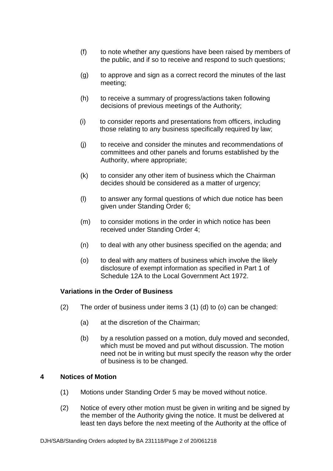- (f) to note whether any questions have been raised by members of the public, and if so to receive and respond to such questions;
- (g) to approve and sign as a correct record the minutes of the last meeting;
- (h) to receive a summary of progress/actions taken following decisions of previous meetings of the Authority;
- (i) to consider reports and presentations from officers, including those relating to any business specifically required by law;
- (j) to receive and consider the minutes and recommendations of committees and other panels and forums established by the Authority, where appropriate;
- (k) to consider any other item of business which the Chairman decides should be considered as a matter of urgency;
- (l) to answer any formal questions of which due notice has been given under Standing Order 6;
- (m) to consider motions in the order in which notice has been received under Standing Order 4;
- (n) to deal with any other business specified on the agenda; and
- (o) to deal with any matters of business which involve the likely disclosure of exempt information as specified in Part 1 of Schedule 12A to the Local Government Act 1972.

## **Variations in the Order of Business**

- (2) The order of business under items 3 (1) (d) to (o) can be changed:
	- (a) at the discretion of the Chairman;
	- (b) by a resolution passed on a motion, duly moved and seconded, which must be moved and put without discussion. The motion need not be in writing but must specify the reason why the order of business is to be changed.

## **4 Notices of Motion**

- (1) Motions under Standing Order 5 may be moved without notice.
- (2) Notice of every other motion must be given in writing and be signed by the member of the Authority giving the notice. It must be delivered at least ten days before the next meeting of the Authority at the office of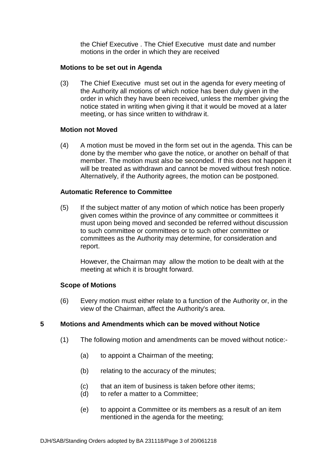the Chief Executive . The Chief Executive must date and number motions in the order in which they are received

### **Motions to be set out in Agenda**

(3) The Chief Executive must set out in the agenda for every meeting of the Authority all motions of which notice has been duly given in the order in which they have been received, unless the member giving the notice stated in writing when giving it that it would be moved at a later meeting, or has since written to withdraw it.

### **Motion not Moved**

(4) A motion must be moved in the form set out in the agenda. This can be done by the member who gave the notice, or another on behalf of that member. The motion must also be seconded. If this does not happen it will be treated as withdrawn and cannot be moved without fresh notice. Alternatively, if the Authority agrees, the motion can be postponed.

## **Automatic Reference to Committee**

(5) If the subject matter of any motion of which notice has been properly given comes within the province of any committee or committees it must upon being moved and seconded be referred without discussion to such committee or committees or to such other committee or committees as the Authority may determine, for consideration and report.

However, the Chairman may allow the motion to be dealt with at the meeting at which it is brought forward.

## **Scope of Motions**

(6) Every motion must either relate to a function of the Authority or, in the view of the Chairman, affect the Authority's area.

## **5 Motions and Amendments which can be moved without Notice**

- (1) The following motion and amendments can be moved without notice:-
	- (a) to appoint a Chairman of the meeting;
	- (b) relating to the accuracy of the minutes;
	- (c) that an item of business is taken before other items;
	- (d) to refer a matter to a Committee;
	- (e) to appoint a Committee or its members as a result of an item mentioned in the agenda for the meeting;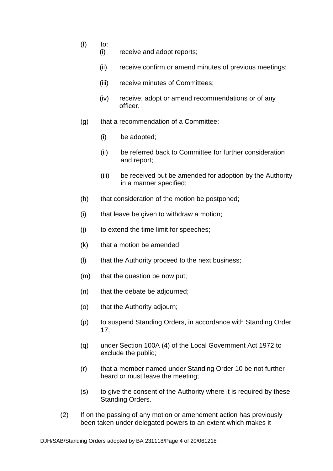- $(f)$  to:
	- (i) receive and adopt reports;
	- (ii) receive confirm or amend minutes of previous meetings;
	- (iii) receive minutes of Committees;
	- (iv) receive, adopt or amend recommendations or of any officer.
- (g) that a recommendation of a Committee:
	- (i) be adopted;
	- (ii) be referred back to Committee for further consideration and report;
	- (iii) be received but be amended for adoption by the Authority in a manner specified;
- (h) that consideration of the motion be postponed;
- (i) that leave be given to withdraw a motion;
- (j) to extend the time limit for speeches;
- (k) that a motion be amended;
- (l) that the Authority proceed to the next business;
- (m) that the question be now put;
- (n) that the debate be adjourned;
- (o) that the Authority adjourn;
- (p) to suspend Standing Orders, in accordance with Standing Order 17;
- (q) under Section 100A (4) of the Local Government Act 1972 to exclude the public;
- (r) that a member named under Standing Order 10 be not further heard or must leave the meeting;
- (s) to give the consent of the Authority where it is required by these Standing Orders.
- (2) If on the passing of any motion or amendment action has previously been taken under delegated powers to an extent which makes it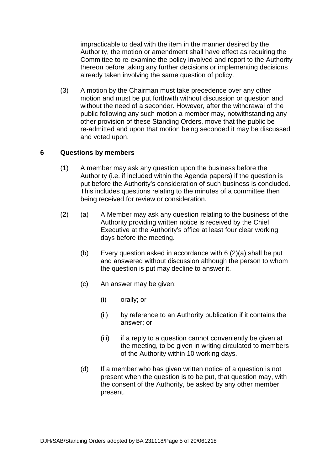impracticable to deal with the item in the manner desired by the Authority, the motion or amendment shall have effect as requiring the Committee to re-examine the policy involved and report to the Authority thereon before taking any further decisions or implementing decisions already taken involving the same question of policy.

(3) A motion by the Chairman must take precedence over any other motion and must be put forthwith without discussion or question and without the need of a seconder. However, after the withdrawal of the public following any such motion a member may, notwithstanding any other provision of these Standing Orders, move that the public be re-admitted and upon that motion being seconded it may be discussed and voted upon.

## **6 Questions by members**

- (1) A member may ask any question upon the business before the Authority (i.e. if included within the Agenda papers) if the question is put before the Authority's consideration of such business is concluded. This includes questions relating to the minutes of a committee then being received for review or consideration.
- (2) (a) A Member may ask any question relating to the business of the Authority providing written notice is received by the Chief Executive at the Authority's office at least four clear working days before the meeting.
	- (b) Every question asked in accordance with 6 (2)(a) shall be put and answered without discussion although the person to whom the question is put may decline to answer it.
	- (c) An answer may be given:
		- (i) orally; or
		- (ii) by reference to an Authority publication if it contains the answer; or
		- (iii) if a reply to a question cannot conveniently be given at the meeting, to be given in writing circulated to members of the Authority within 10 working days.
	- (d) If a member who has given written notice of a question is not present when the question is to be put, that question may, with the consent of the Authority, be asked by any other member present.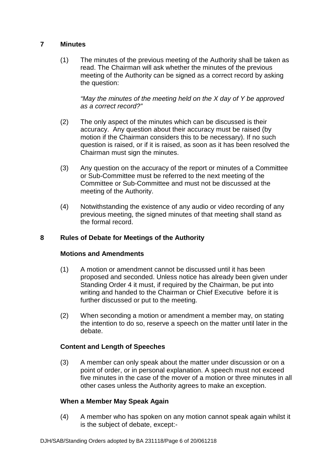# **7 Minutes**

(1) The minutes of the previous meeting of the Authority shall be taken as read. The Chairman will ask whether the minutes of the previous meeting of the Authority can be signed as a correct record by asking the question:

*"May the minutes of the meeting held on the X day of Y be approved as a correct record?"*

- (2) The only aspect of the minutes which can be discussed is their accuracy. Any question about their accuracy must be raised (by motion if the Chairman considers this to be necessary). If no such question is raised, or if it is raised, as soon as it has been resolved the Chairman must sign the minutes.
- (3) Any question on the accuracy of the report or minutes of a Committee or Sub-Committee must be referred to the next meeting of the Committee or Sub-Committee and must not be discussed at the meeting of the Authority.
- (4) Notwithstanding the existence of any audio or video recording of any previous meeting, the signed minutes of that meeting shall stand as the formal record.

# **8 Rules of Debate for Meetings of the Authority**

# **Motions and Amendments**

- (1) A motion or amendment cannot be discussed until it has been proposed and seconded. Unless notice has already been given under Standing Order 4 it must, if required by the Chairman, be put into writing and handed to the Chairman or Chief Executive before it is further discussed or put to the meeting.
- (2) When seconding a motion or amendment a member may, on stating the intention to do so, reserve a speech on the matter until later in the debate.

## **Content and Length of Speeches**

(3) A member can only speak about the matter under discussion or on a point of order, or in personal explanation. A speech must not exceed five minutes in the case of the mover of a motion or three minutes in all other cases unless the Authority agrees to make an exception.

## **When a Member May Speak Again**

(4) A member who has spoken on any motion cannot speak again whilst it is the subject of debate, except:-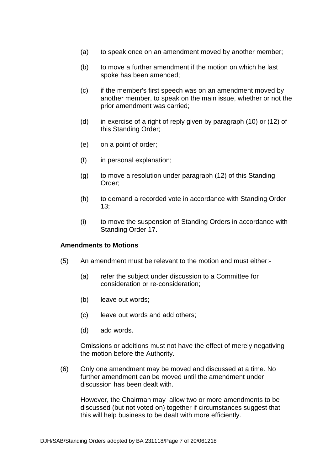- (a) to speak once on an amendment moved by another member;
- (b) to move a further amendment if the motion on which he last spoke has been amended;
- (c) if the member's first speech was on an amendment moved by another member, to speak on the main issue, whether or not the prior amendment was carried;
- (d) in exercise of a right of reply given by paragraph (10) or (12) of this Standing Order;
- (e) on a point of order;
- (f) in personal explanation;
- (g) to move a resolution under paragraph (12) of this Standing Order;
- (h) to demand a recorded vote in accordance with Standing Order 13;
- (i) to move the suspension of Standing Orders in accordance with Standing Order 17.

#### **Amendments to Motions**

- (5) An amendment must be relevant to the motion and must either:-
	- (a) refer the subject under discussion to a Committee for consideration or re-consideration;
	- (b) leave out words;
	- (c) leave out words and add others;
	- (d) add words.

Omissions or additions must not have the effect of merely negativing the motion before the Authority.

(6) Only one amendment may be moved and discussed at a time. No further amendment can be moved until the amendment under discussion has been dealt with.

However, the Chairman may allow two or more amendments to be discussed (but not voted on) together if circumstances suggest that this will help business to be dealt with more efficiently.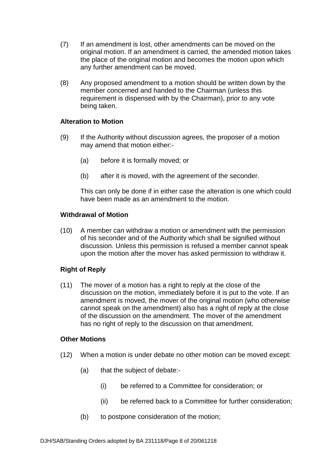- (7) If an amendment is lost, other amendments can be moved on the original motion. If an amendment is carried, the amended motion takes the place of the original motion and becomes the motion upon which any further amendment can be moved.
- (8) Any proposed amendment to a motion should be written down by the member concerned and handed to the Chairman (unless this requirement is dispensed with by the Chairman), prior to any vote being taken.

### **Alteration to Motion**

- (9) If the Authority without discussion agrees, the proposer of a motion may amend that motion either:-
	- (a) before it is formally moved; or
	- (b) after it is moved, with the agreement of the seconder.

This can only be done if in either case the alteration is one which could have been made as an amendment to the motion.

#### **Withdrawal of Motion**

(10) A member can withdraw a motion or amendment with the permission of his seconder and of the Authority which shall be signified without discussion. Unless this permission is refused a member cannot speak upon the motion after the mover has asked permission to withdraw it.

## **Right of Reply**

(11) The mover of a motion has a right to reply at the close of the discussion on the motion, immediately before it is put to the vote. If an amendment is moved, the mover of the original motion (who otherwise cannot speak on the amendment) also has a right of reply at the close of the discussion on the amendment. The mover of the amendment has no right of reply to the discussion on that amendment.

## **Other Motions**

- (12) When a motion is under debate no other motion can be moved except:
	- (a) that the subject of debate:-
		- (i) be referred to a Committee for consideration; or
		- (ii) be referred back to a Committee for further consideration;
	- (b) to postpone consideration of the motion;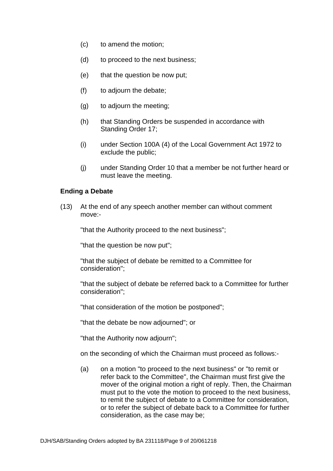- (c) to amend the motion;
- (d) to proceed to the next business;
- (e) that the question be now put;
- (f) to adjourn the debate;
- (g) to adjourn the meeting;
- (h) that Standing Orders be suspended in accordance with Standing Order 17;
- (i) under Section 100A (4) of the Local Government Act 1972 to exclude the public;
- (j) under Standing Order 10 that a member be not further heard or must leave the meeting.

### **Ending a Debate**

(13) At the end of any speech another member can without comment move:-

"that the Authority proceed to the next business";

"that the question be now put";

"that the subject of debate be remitted to a Committee for consideration";

"that the subject of debate be referred back to a Committee for further consideration";

"that consideration of the motion be postponed";

"that the debate be now adjourned"; or

"that the Authority now adjourn";

on the seconding of which the Chairman must proceed as follows:-

(a) on a motion "to proceed to the next business" or "to remit or refer back to the Committee", the Chairman must first give the mover of the original motion a right of reply. Then, the Chairman must put to the vote the motion to proceed to the next business, to remit the subject of debate to a Committee for consideration, or to refer the subject of debate back to a Committee for further consideration, as the case may be;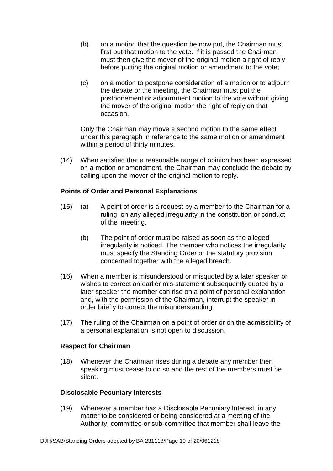- (b) on a motion that the question be now put, the Chairman must first put that motion to the vote. If it is passed the Chairman must then give the mover of the original motion a right of reply before putting the original motion or amendment to the vote;
- (c) on a motion to postpone consideration of a motion or to adjourn the debate or the meeting, the Chairman must put the postponement or adjournment motion to the vote without giving the mover of the original motion the right of reply on that occasion.

Only the Chairman may move a second motion to the same effect under this paragraph in reference to the same motion or amendment within a period of thirty minutes.

(14) When satisfied that a reasonable range of opinion has been expressed on a motion or amendment, the Chairman may conclude the debate by calling upon the mover of the original motion to reply.

## **Points of Order and Personal Explanations**

- (15) (a) A point of order is a request by a member to the Chairman for a ruling on any alleged irregularity in the constitution or conduct of the meeting.
	- (b) The point of order must be raised as soon as the alleged irregularity is noticed. The member who notices the irregularity must specify the Standing Order or the statutory provision concerned together with the alleged breach.
- (16) When a member is misunderstood or misquoted by a later speaker or wishes to correct an earlier mis-statement subsequently quoted by a later speaker the member can rise on a point of personal explanation and, with the permission of the Chairman, interrupt the speaker in order briefly to correct the misunderstanding.
- (17) The ruling of the Chairman on a point of order or on the admissibility of a personal explanation is not open to discussion.

## **Respect for Chairman**

(18) Whenever the Chairman rises during a debate any member then speaking must cease to do so and the rest of the members must be silent.

#### **Disclosable Pecuniary Interests**

(19) Whenever a member has a Disclosable Pecuniary Interest in any matter to be considered or being considered at a meeting of the Authority, committee or sub-committee that member shall leave the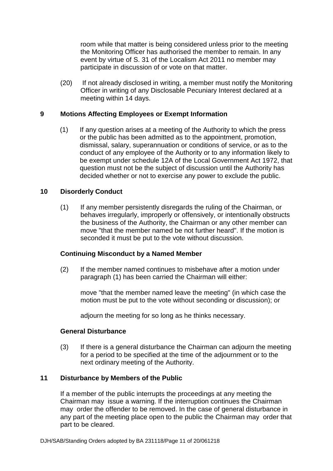room while that matter is being considered unless prior to the meeting the Monitoring Officer has authorised the member to remain. In any event by virtue of S. 31 of the Localism Act 2011 no member may participate in discussion of or vote on that matter.

(20) If not already disclosed in writing, a member must notify the Monitoring Officer in writing of any Disclosable Pecuniary Interest declared at a meeting within 14 days.

## **9 Motions Affecting Employees or Exempt Information**

(1) If any question arises at a meeting of the Authority to which the press or the public has been admitted as to the appointment, promotion, dismissal, salary, superannuation or conditions of service, or as to the conduct of any employee of the Authority or to any information likely to be exempt under schedule 12A of the Local Government Act 1972, that question must not be the subject of discussion until the Authority has decided whether or not to exercise any power to exclude the public.

### **10 Disorderly Conduct**

(1) If any member persistently disregards the ruling of the Chairman, or behaves irregularly, improperly or offensively, or intentionally obstructs the business of the Authority, the Chairman or any other member can move "that the member named be not further heard". If the motion is seconded it must be put to the vote without discussion.

#### **Continuing Misconduct by a Named Member**

(2) If the member named continues to misbehave after a motion under paragraph (1) has been carried the Chairman will either:

move "that the member named leave the meeting" (in which case the motion must be put to the vote without seconding or discussion); or

adjourn the meeting for so long as he thinks necessary.

#### **General Disturbance**

(3) If there is a general disturbance the Chairman can adjourn the meeting for a period to be specified at the time of the adjournment or to the next ordinary meeting of the Authority.

#### **11 Disturbance by Members of the Public**

If a member of the public interrupts the proceedings at any meeting the Chairman may issue a warning. If the interruption continues the Chairman may order the offender to be removed. In the case of general disturbance in any part of the meeting place open to the public the Chairman may order that part to be cleared.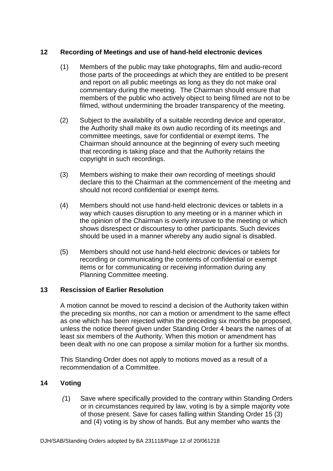# **12 Recording of Meetings and use of hand-held electronic devices**

- (1) Members of the public may take photographs, film and audio-record those parts of the proceedings at which they are entitled to be present and report on all public meetings as long as they do not make oral commentary during the meeting. The Chairman should ensure that members of the public who actively object to being filmed are not to be filmed, without undermining the broader transparency of the meeting.
- (2) Subject to the availability of a suitable recording device and operator, the Authority shall make its own audio recording of its meetings and committee meetings, save for confidential or exempt items. The Chairman should announce at the beginning of every such meeting that recording is taking place and that the Authority retains the copyright in such recordings.
- (3) Members wishing to make their own recording of meetings should declare this to the Chairman at the commencement of the meeting and should not record confidential or exempt items.
- (4) Members should not use hand-held electronic devices or tablets in a way which causes disruption to any meeting or in a manner which in the opinion of the Chairman is overly intrusive to the meeting or which shows disrespect or discourtesy to other participants. Such devices should be used in a manner whereby any audio signal is disabled.
- (5) Members should not use hand-held electronic devices or tablets for recording or communicating the contents of confidential or exempt items or for communicating or receiving information during any Planning Committee meeting.

## **13 Rescission of Earlier Resolution**

A motion cannot be moved to rescind a decision of the Authority taken within the preceding six months, nor can a motion or amendment to the same effect as one which has been rejected within the preceding six months be proposed, unless the notice thereof given under Standing Order 4 bears the names of at least six members of the Authority. When this motion or amendment has been dealt with no one can propose a similar motion for a further six months.

This Standing Order does not apply to motions moved as a result of a recommendation of a Committee.

# **14 Voting**

 *(*1) Save where specifically provided to the contrary within Standing Orders or in circumstances required by law, voting is by a simple majority vote of those present. Save for cases falling within Standing Order 15 (3) and (4) voting is by show of hands. But any member who wants the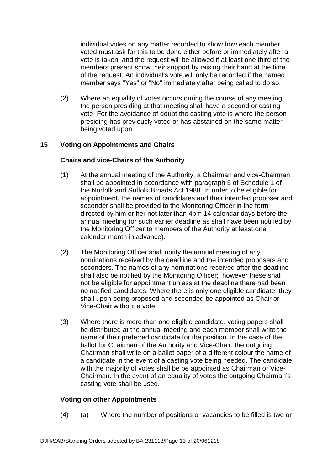individual votes on any matter recorded to show how each member voted must ask for this to be done either before or immediately after a vote is taken, and the request will be allowed if at least one third of the members present show their support by raising their hand at the time of the request. An individual's vote will only be recorded if the named member says "Yes" or "No" immediately after being called to do so.

(2) Where an equality of votes occurs during the course of any meeting, the person presiding at that meeting shall have a second or casting vote. For the avoidance of doubt the casting vote is where the person presiding has previously voted or has abstained on the same matter being voted upon.

# **15 Voting on Appointments and Chairs**

## **Chairs and vice-Chairs of the Authority**

- (1) At the annual meeting of the Authority, a Chairman and vice-Chairman shall be appointed in accordance with paragraph 5 of Schedule 1 of the Norfolk and Suffolk Broads Act 1988. In order to be eligible for appointment, the names of candidates and their intended proposer and seconder shall be provided to the Monitoring Officer in the form directed by him or her not later than 4pm 14 calendar days before the annual meeting (or such earlier deadline as shall have been notified by the Monitoring Officer to members of the Authority at least one calendar month in advance).
- (2) The Monitoring Officer shall notify the annual meeting of any nominations received by the deadline and the intended proposers and seconders. The names of any nominations received after the deadline shall also be notified by the Monitoring Officer; however these shall not be eligible for appointment unless at the deadline there had been no notified candidates. Where there is only one eligible candidate, they shall upon being proposed and seconded be appointed as Chair or Vice-Chair without a vote.
- (3) Where there is more than one eligible candidate, voting papers shall be distributed at the annual meeting and each member shall write the name of their preferred candidate for the position. In the case of the ballot for Chairman of the Authority and Vice-Chair, the outgoing Chairman shall write on a ballot paper of a different colour the name of a candidate in the event of a casting vote being needed. The candidate with the majority of votes shall be be appointed as Chairman or Vice-Chairman. In the event of an equality of votes the outgoing Chairman's casting vote shall be used.

## **Voting on other Appointments**

(4) (a) Where the number of positions or vacancies to be filled is two or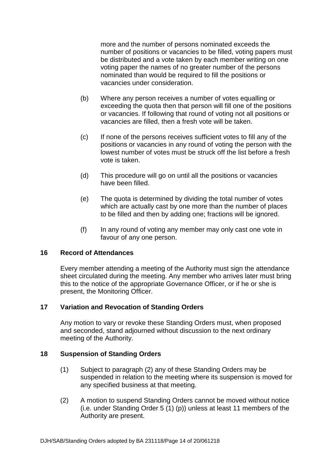more and the number of persons nominated exceeds the number of positions or vacancies to be filled, voting papers must be distributed and a vote taken by each member writing on one voting paper the names of no greater number of the persons nominated than would be required to fill the positions or vacancies under consideration.

- (b) Where any person receives a number of votes equalling or exceeding the quota then that person will fill one of the positions or vacancies. If following that round of voting not all positions or vacancies are filled, then a fresh vote will be taken.
- (c) If none of the persons receives sufficient votes to fill any of the positions or vacancies in any round of voting the person with the lowest number of votes must be struck off the list before a fresh vote is taken.
- (d) This procedure will go on until all the positions or vacancies have been filled.
- (e) The quota is determined by dividing the total number of votes which are actually cast by one more than the number of places to be filled and then by adding one; fractions will be ignored.
- (f) In any round of voting any member may only cast one vote in favour of any one person.

#### **16 Record of Attendances**

Every member attending a meeting of the Authority must sign the attendance sheet circulated during the meeting. Any member who arrives later must bring this to the notice of the appropriate Governance Officer, or if he or she is present, the Monitoring Officer.

#### **17 Variation and Revocation of Standing Orders**

Any motion to vary or revoke these Standing Orders must, when proposed and seconded, stand adjourned without discussion to the next ordinary meeting of the Authority.

#### **18 Suspension of Standing Orders**

- (1) Subject to paragraph (2) any of these Standing Orders may be suspended in relation to the meeting where its suspension is moved for any specified business at that meeting.
- (2) A motion to suspend Standing Orders cannot be moved without notice (i.e. under Standing Order 5 (1) (p)) unless at least 11 members of the Authority are present.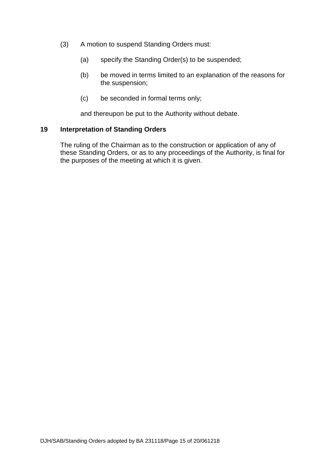- (3) A motion to suspend Standing Orders must:
	- (a) specify the Standing Order(s) to be suspended;
	- (b) be moved in terms limited to an explanation of the reasons for the suspension;
	- (c) be seconded in formal terms only;

and thereupon be put to the Authority without debate.

### **19 Interpretation of Standing Orders**

The ruling of the Chairman as to the construction or application of any of these Standing Orders, or as to any proceedings of the Authority, is final for the purposes of the meeting at which it is given.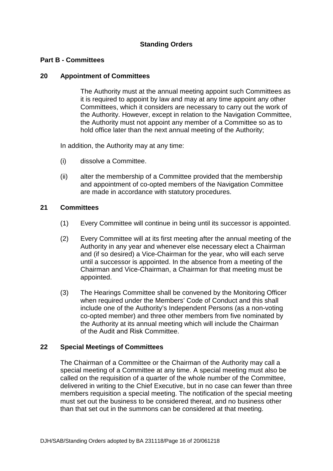# **Standing Orders**

### **Part B - Committees**

### **20 Appointment of Committees**

The Authority must at the annual meeting appoint such Committees as it is required to appoint by law and may at any time appoint any other Committees, which it considers are necessary to carry out the work of the Authority. However, except in relation to the Navigation Committee, the Authority must not appoint any member of a Committee so as to hold office later than the next annual meeting of the Authority;

In addition, the Authority may at any time:

- (i) dissolve a Committee.
- (ii) alter the membership of a Committee provided that the membership and appointment of co-opted members of the Navigation Committee are made in accordance with statutory procedures.

## **21 Committees**

- (1) Every Committee will continue in being until its successor is appointed.
- (2) Every Committee will at its first meeting after the annual meeting of the Authority in any year and whenever else necessary elect a Chairman and (if so desired) a Vice-Chairman for the year, who will each serve until a successor is appointed. In the absence from a meeting of the Chairman and Vice-Chairman, a Chairman for that meeting must be appointed.
- (3) The Hearings Committee shall be convened by the Monitoring Officer when required under the Members' Code of Conduct and this shall include one of the Authority's Independent Persons (as a non-voting co-opted member) and three other members from five nominated by the Authority at its annual meeting which will include the Chairman of the Audit and Risk Committee.

## **22 Special Meetings of Committees**

The Chairman of a Committee or the Chairman of the Authority may call a special meeting of a Committee at any time. A special meeting must also be called on the requisition of a quarter of the whole number of the Committee, delivered in writing to the Chief Executive, but in no case can fewer than three members requisition a special meeting. The notification of the special meeting must set out the business to be considered thereat, and no business other than that set out in the summons can be considered at that meeting.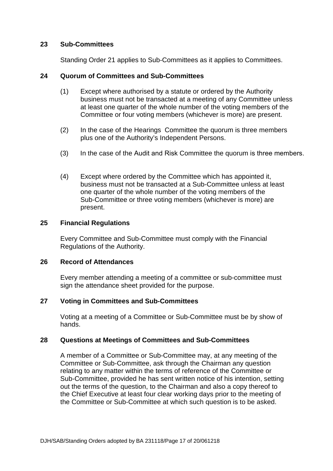### **23 Sub-Committees**

Standing Order 21 applies to Sub-Committees as it applies to Committees.

### **24 Quorum of Committees and Sub-Committees**

- (1) Except where authorised by a statute or ordered by the Authority business must not be transacted at a meeting of any Committee unless at least one quarter of the whole number of the voting members of the Committee or four voting members (whichever is more) are present.
- (2) In the case of the Hearings Committee the quorum is three members plus one of the Authority's Independent Persons.
- (3) In the case of the Audit and Risk Committee the quorum is three members.
- (4) Except where ordered by the Committee which has appointed it, business must not be transacted at a Sub-Committee unless at least one quarter of the whole number of the voting members of the Sub-Committee or three voting members (whichever is more) are present.

### **25 Financial Regulations**

Every Committee and Sub-Committee must comply with the Financial Regulations of the Authority.

### **26 Record of Attendances**

Every member attending a meeting of a committee or sub-committee must sign the attendance sheet provided for the purpose.

## **27 Voting in Committees and Sub-Committees**

Voting at a meeting of a Committee or Sub-Committee must be by show of hands.

## **28 Questions at Meetings of Committees and Sub-Committees**

A member of a Committee or Sub-Committee may, at any meeting of the Committee or Sub-Committee, ask through the Chairman any question relating to any matter within the terms of reference of the Committee or Sub-Committee, provided he has sent written notice of his intention, setting out the terms of the question, to the Chairman and also a copy thereof to the Chief Executive at least four clear working days prior to the meeting of the Committee or Sub-Committee at which such question is to be asked.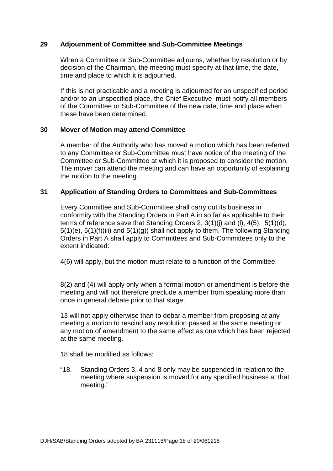## **29 Adjournment of Committee and Sub-Committee Meetings**

When a Committee or Sub-Committee adjourns, whether by resolution or by decision of the Chairman, the meeting must specify at that time, the date, time and place to which it is adjourned.

If this is not practicable and a meeting is adjourned for an unspecified period and/or to an unspecified place, the Chief Executive must notify all members of the Committee or Sub-Committee of the new date, time and place when these have been determined.

## **30 Mover of Motion may attend Committee**

A member of the Authority who has moved a motion which has been referred to any Committee or Sub-Committee must have notice of the meeting of the Committee or Sub-Committee at which it is proposed to consider the motion. The mover can attend the meeting and can have an opportunity of explaining the motion to the meeting.

## **31 Application of Standing Orders to Committees and Sub-Committees**

Every Committee and Sub-Committee shall carry out its business in conformity with the Standing Orders in Part A in so far as applicable to their terms of reference save that Standing Orders 2, 3(1)(j) and (l), 4(5), 5(1)(d), 5(1)(e), 5(1)(f)(iii) and 5(1)(g)) shall not apply to them. The following Standing Orders in Part A shall apply to Committees and Sub-Committees only to the extent indicated:

4(6) will apply, but the motion must relate to a function of the Committee.

8(2) and (4) will apply only when a formal motion or amendment is before the meeting and will not therefore preclude a member from speaking more than once in general debate prior to that stage;

13 will not apply otherwise than to debar a member from proposing at any meeting a motion to rescind any resolution passed at the same meeting or any motion of amendment to the same effect as one which has been rejected at the same meeting.

18 shall be modified as follows:

"18. Standing Orders 3, 4 and 8 only may be suspended in relation to the meeting where suspension is moved for any specified business at that meeting."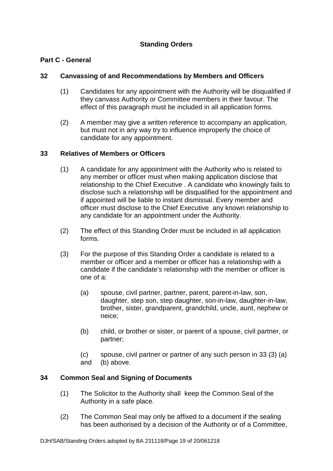# **Standing Orders**

# **Part C - General**

# **32 Canvassing of and Recommendations by Members and Officers**

- (1) Candidates for any appointment with the Authority will be disqualified if they canvass Authority or Committee members in their favour. The effect of this paragraph must be included in all application forms.
- (2) A member may give a written reference to accompany an application, but must not in any way try to influence improperly the choice of candidate for any appointment.

### **33 Relatives of Members or Officers**

- (1) A candidate for any appointment with the Authority who is related to any member or officer must when making application disclose that relationship to the Chief Executive . A candidate who knowingly fails to disclose such a relationship will be disqualified for the appointment and if appointed will be liable to instant dismissal. Every member and officer must disclose to the Chief Executive any known relationship to any candidate for an appointment under the Authority.
- (2) The effect of this Standing Order must be included in all application forms.
- (3) For the purpose of this Standing Order a candidate is related to a member or officer and a member or officer has a relationship with a candidate if the candidate's relationship with the member or officer is one of a:
	- (a) spouse, civil partner, partner, parent, parent-in-law, son, daughter, step son, step daughter, son-in-law, daughter-in-law, brother, sister, grandparent, grandchild, uncle, aunt, nephew or neice;
	- (b) child, or brother or sister, or parent of a spouse, civil partner, or partner;
	- (c) spouse, civil partner or partner of any such person in 33 (3) (a)
	- and (b) above.

## **34 Common Seal and Signing of Documents**

- (1) The Solicitor to the Authority shall keep the Common Seal of the Authority in a safe place.
- (2) The Common Seal may only be affixed to a document if the sealing has been authorised by a decision of the Authority or of a Committee,